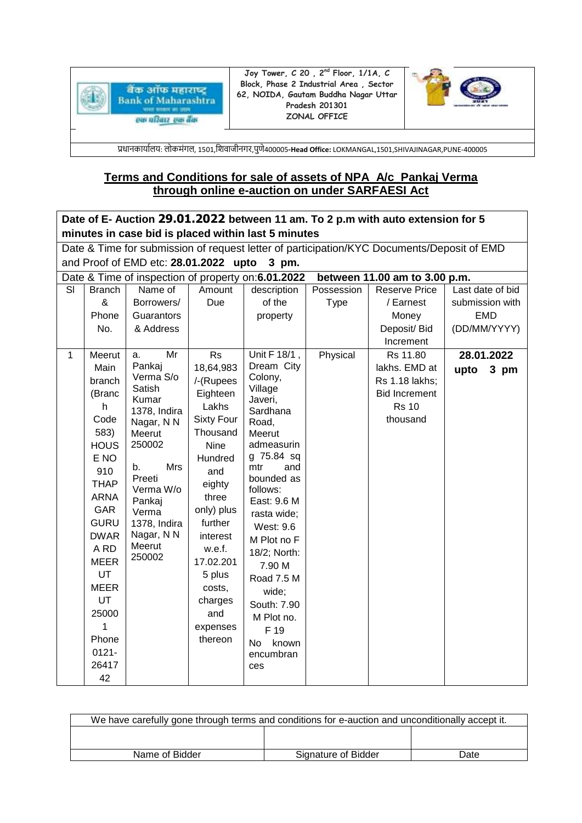

**Joy Tower, C 20 , 2nd Floor, 1/1A, C Block, Phase 2 Industrial Area , Sector 62, NOIDA, Gautam Buddha Nagar Uttar Pradesh 201301 ZONAL OFFICE**



प्रधानकार्ाालर्: लोकमंगल, 1501,शिवाजीनगर,पुणे400005-**Head Office:** LOKMANGAL,1501,SHIVAJINAGAR,PUNE-400005

# **Terms and Conditions for sale of assets of NPA A/c\_Pankaj Verma through online e-auction on under SARFAESI Act**

| Date of E- Auction 29.01.2022 between 11 am. To 2 p.m with auto extension for 5            |                                                |                      |                       |                                                    |             |                                        |                  |
|--------------------------------------------------------------------------------------------|------------------------------------------------|----------------------|-----------------------|----------------------------------------------------|-------------|----------------------------------------|------------------|
| minutes in case bid is placed within last 5 minutes                                        |                                                |                      |                       |                                                    |             |                                        |                  |
| Date & Time for submission of request letter of participation/KYC Documents/Deposit of EMD |                                                |                      |                       |                                                    |             |                                        |                  |
|                                                                                            | and Proof of EMD etc: 28.01.2022 upto<br>3 pm. |                      |                       |                                                    |             |                                        |                  |
|                                                                                            |                                                |                      |                       | Date & Time of inspection of property on:6.01.2022 |             | between 11.00 am to 3.00 p.m.          |                  |
| SI                                                                                         | <b>Branch</b>                                  | Name of              | Amount                | description                                        | Possession  | <b>Reserve Price</b>                   | Last date of bid |
|                                                                                            | &                                              | Borrowers/           | Due                   | of the                                             | <b>Type</b> | / Earnest                              | submission with  |
|                                                                                            | Phone                                          | Guarantors           |                       | property                                           |             | Money                                  | <b>EMD</b>       |
|                                                                                            | No.                                            | & Address            |                       |                                                    |             | Deposit/ Bid                           | (DD/MM/YYYY)     |
|                                                                                            |                                                |                      |                       |                                                    |             | Increment                              |                  |
| $\mathbf{1}$                                                                               | Meerut                                         | Mr<br>a.<br>Pankaj   | <b>Rs</b>             | Unit F 18/1,<br>Dream City                         | Physical    | Rs 11.80<br>lakhs. EMD at              | 28.01.2022       |
|                                                                                            | Main                                           | Verma S/o            | 18,64,983             | Colony,                                            |             |                                        | upto<br>3 pm     |
|                                                                                            | branch<br>(Branc                               | Satish               | /-(Rupees<br>Eighteen | Village                                            |             | Rs 1.18 lakhs;<br><b>Bid Increment</b> |                  |
|                                                                                            | h                                              | Kumar                | Lakhs                 | Javeri,                                            |             | <b>Rs 10</b>                           |                  |
|                                                                                            | Code                                           | 1378, Indira         | <b>Sixty Four</b>     | Sardhana                                           |             | thousand                               |                  |
|                                                                                            | 583)                                           | Nagar, N N<br>Meerut | Thousand              | Road,<br>Meerut                                    |             |                                        |                  |
|                                                                                            | <b>HOUS</b>                                    | 250002               | <b>Nine</b>           | admeasurin                                         |             |                                        |                  |
|                                                                                            | E NO                                           |                      | Hundred               | g 75.84 sq                                         |             |                                        |                  |
|                                                                                            | 910                                            | Mrs<br>b.            | and                   | mtr<br>and                                         |             |                                        |                  |
|                                                                                            | <b>THAP</b>                                    | Preeti               | eighty                | bounded as                                         |             |                                        |                  |
|                                                                                            | <b>ARNA</b>                                    | Verma W/o<br>Pankaj  | three                 | follows:<br>East: 9.6 M                            |             |                                        |                  |
|                                                                                            | <b>GAR</b>                                     | Verma                | only) plus            | rasta wide;                                        |             |                                        |                  |
|                                                                                            | <b>GURU</b>                                    | 1378, Indira         | further               | <b>West: 9.6</b>                                   |             |                                        |                  |
|                                                                                            | <b>DWAR</b>                                    | Nagar, N N           | interest              | M Plot no F                                        |             |                                        |                  |
|                                                                                            | A RD                                           | Meerut               | w.e.f.                | 18/2; North:                                       |             |                                        |                  |
|                                                                                            | <b>MEER</b>                                    | 250002               | 17.02.201             | 7.90 M                                             |             |                                        |                  |
|                                                                                            | UT                                             |                      | 5 plus                | Road 7.5 M                                         |             |                                        |                  |
|                                                                                            | <b>MEER</b>                                    |                      | costs,                | wide;                                              |             |                                        |                  |
|                                                                                            | UT                                             |                      | charges               | South: 7.90                                        |             |                                        |                  |
|                                                                                            | 25000                                          |                      | and                   | M Plot no.                                         |             |                                        |                  |
|                                                                                            | 1                                              |                      | expenses              | F 19                                               |             |                                        |                  |
|                                                                                            | Phone                                          |                      | thereon               | known<br>No.                                       |             |                                        |                  |
|                                                                                            | $0121 -$                                       |                      |                       | encumbran                                          |             |                                        |                  |
|                                                                                            | 26417                                          |                      |                       | ces                                                |             |                                        |                  |
|                                                                                            | 42                                             |                      |                       |                                                    |             |                                        |                  |

| We have carefully gone through terms and conditions for e-auction and unconditionally accept it. |                     |      |  |
|--------------------------------------------------------------------------------------------------|---------------------|------|--|
|                                                                                                  |                     |      |  |
|                                                                                                  |                     |      |  |
| Name of Bidder                                                                                   | Signature of Bidder | Date |  |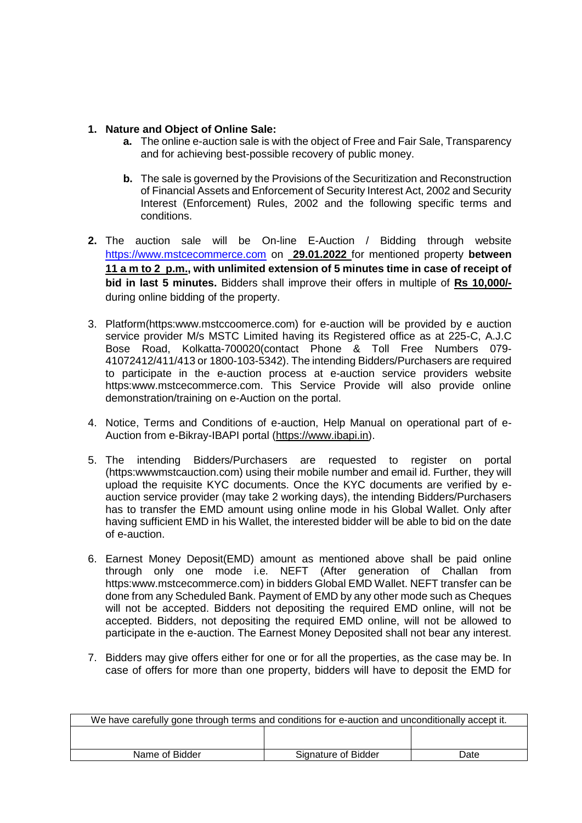# **1. Nature and Object of Online Sale:**

- **a.** The online e-auction sale is with the object of Free and Fair Sale, Transparency and for achieving best-possible recovery of public money.
- **b.** The sale is governed by the Provisions of the Securitization and Reconstruction of Financial Assets and Enforcement of Security Interest Act, 2002 and Security Interest (Enforcement) Rules, 2002 and the following specific terms and conditions.
- **2.** The auction sale will be On-line E-Auction / Bidding through website [https://www.mstcecommerce.com](https://www.mstcecommerce.com/) on **29.01.2022** for mentioned property **between 11 a m to 2 p.m., with unlimited extension of 5 minutes time in case of receipt of bid in last 5 minutes.** Bidders shall improve their offers in multiple of **Rs 10,000/** during online bidding of the property.
- 3. Platform(https:www.mstccoomerce.com) for e-auction will be provided by e auction service provider M/s MSTC Limited having its Registered office as at 225-C, A.J.C Bose Road, Kolkatta-700020(contact Phone & Toll Free Numbers 079- 41072412/411/413 or 1800-103-5342). The intending Bidders/Purchasers are required to participate in the e-auction process at e-auction service providers website https:www.mstcecommerce.com. This Service Provide will also provide online demonstration/training on e-Auction on the portal.
- 4. Notice, Terms and Conditions of e-auction, Help Manual on operational part of e-Auction from e-Bikray-IBAPI portal [\(https://www.ibapi.in\)](https://www.ibapi.in/).
- 5. The intending Bidders/Purchasers are requested to register on portal (https:wwwmstcauction.com) using their mobile number and email id. Further, they will upload the requisite KYC documents. Once the KYC documents are verified by eauction service provider (may take 2 working days), the intending Bidders/Purchasers has to transfer the EMD amount using online mode in his Global Wallet. Only after having sufficient EMD in his Wallet, the interested bidder will be able to bid on the date of e-auction.
- 6. Earnest Money Deposit(EMD) amount as mentioned above shall be paid online through only one mode i.e. NEFT (After generation of Challan from https:www.mstcecommerce.com) in bidders Global EMD Wallet. NEFT transfer can be done from any Scheduled Bank. Payment of EMD by any other mode such as Cheques will not be accepted. Bidders not depositing the required EMD online, will not be accepted. Bidders, not depositing the required EMD online, will not be allowed to participate in the e-auction. The Earnest Money Deposited shall not bear any interest.
- 7. Bidders may give offers either for one or for all the properties, as the case may be. In case of offers for more than one property, bidders will have to deposit the EMD for

| We have carefully gone through terms and conditions for e-auction and unconditionally accept it. |                     |      |  |
|--------------------------------------------------------------------------------------------------|---------------------|------|--|
|                                                                                                  |                     |      |  |
|                                                                                                  |                     |      |  |
| Name of Bidder                                                                                   | Signature of Bidder | Date |  |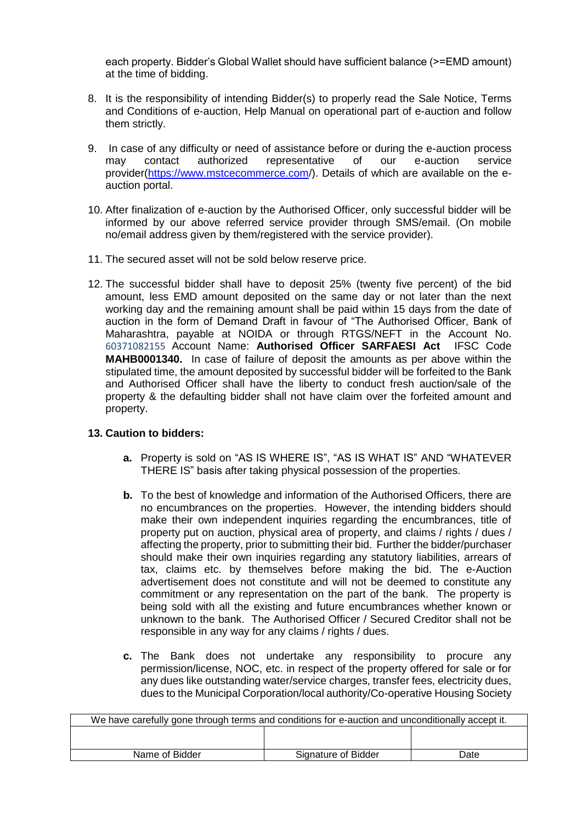each property. Bidder's Global Wallet should have sufficient balance (>=EMD amount) at the time of bidding.

- 8. It is the responsibility of intending Bidder(s) to properly read the Sale Notice, Terms and Conditions of e-auction, Help Manual on operational part of e-auction and follow them strictly.
- 9. In case of any difficulty or need of assistance before or during the e-auction process may contact authorized representative of our e-auction service provider[\(https://www.mstcecommerce.com/](https://www.mstcecommerce.com/)). Details of which are available on the eauction portal.
- 10. After finalization of e-auction by the Authorised Officer, only successful bidder will be informed by our above referred service provider through SMS/email. (On mobile no/email address given by them/registered with the service provider).
- 11. The secured asset will not be sold below reserve price.
- 12. The successful bidder shall have to deposit 25% (twenty five percent) of the bid amount, less EMD amount deposited on the same day or not later than the next working day and the remaining amount shall be paid within 15 days from the date of auction in the form of Demand Draft in favour of "The Authorised Officer, Bank of Maharashtra, payable at NOIDA or through RTGS/NEFT in the Account No. 60371082155 Account Name: **Authorised Officer SARFAESI Act** IFSC Code **MAHB0001340.** In case of failure of deposit the amounts as per above within the stipulated time, the amount deposited by successful bidder will be forfeited to the Bank and Authorised Officer shall have the liberty to conduct fresh auction/sale of the property & the defaulting bidder shall not have claim over the forfeited amount and property.

# **13. Caution to bidders:**

- **a.** Property is sold on "AS IS WHERE IS", "AS IS WHAT IS" AND "WHATEVER THERE IS" basis after taking physical possession of the properties.
- **b.** To the best of knowledge and information of the Authorised Officers, there are no encumbrances on the properties. However, the intending bidders should make their own independent inquiries regarding the encumbrances, title of property put on auction, physical area of property, and claims / rights / dues / affecting the property, prior to submitting their bid. Further the bidder/purchaser should make their own inquiries regarding any statutory liabilities, arrears of tax, claims etc. by themselves before making the bid. The e-Auction advertisement does not constitute and will not be deemed to constitute any commitment or any representation on the part of the bank. The property is being sold with all the existing and future encumbrances whether known or unknown to the bank. The Authorised Officer / Secured Creditor shall not be responsible in any way for any claims / rights / dues.
- **c.** The Bank does not undertake any responsibility to procure any permission/license, NOC, etc. in respect of the property offered for sale or for any dues like outstanding water/service charges, transfer fees, electricity dues, dues to the Municipal Corporation/local authority/Co-operative Housing Society

| We have carefully gone through terms and conditions for e-auction and unconditionally accept it. |                     |      |  |
|--------------------------------------------------------------------------------------------------|---------------------|------|--|
|                                                                                                  |                     |      |  |
|                                                                                                  |                     |      |  |
| Name of Bidder                                                                                   | Signature of Bidder | Date |  |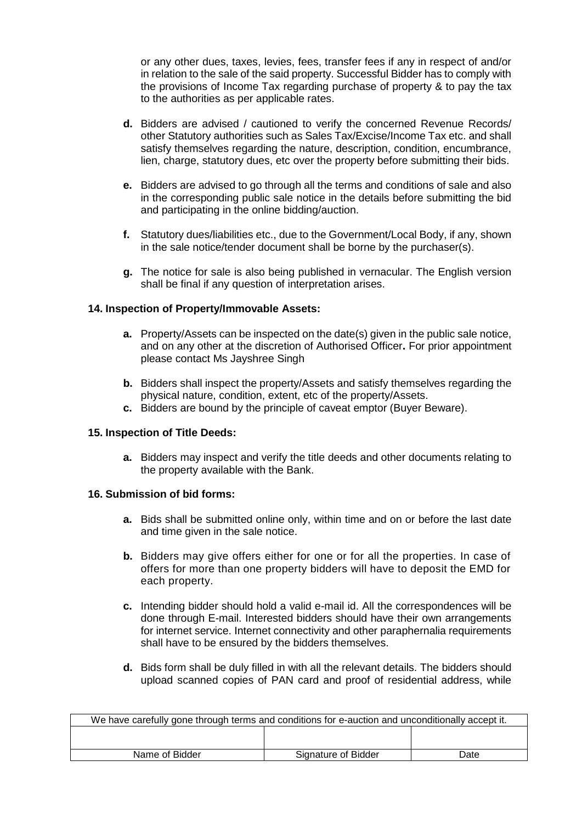or any other dues, taxes, levies, fees, transfer fees if any in respect of and/or in relation to the sale of the said property. Successful Bidder has to comply with the provisions of Income Tax regarding purchase of property & to pay the tax to the authorities as per applicable rates.

- **d.** Bidders are advised / cautioned to verify the concerned Revenue Records/ other Statutory authorities such as Sales Tax/Excise/Income Tax etc. and shall satisfy themselves regarding the nature, description, condition, encumbrance, lien, charge, statutory dues, etc over the property before submitting their bids.
- **e.** Bidders are advised to go through all the terms and conditions of sale and also in the corresponding public sale notice in the details before submitting the bid and participating in the online bidding/auction.
- **f.** Statutory dues/liabilities etc., due to the Government/Local Body, if any, shown in the sale notice/tender document shall be borne by the purchaser(s).
- **g.** The notice for sale is also being published in vernacular. The English version shall be final if any question of interpretation arises.

# **14. Inspection of Property/Immovable Assets:**

- **a.** Property/Assets can be inspected on the date(s) given in the public sale notice, and on any other at the discretion of Authorised Officer**.** For prior appointment please contact Ms Jayshree Singh
- **b.** Bidders shall inspect the property/Assets and satisfy themselves regarding the physical nature, condition, extent, etc of the property/Assets.
- **c.** Bidders are bound by the principle of caveat emptor (Buyer Beware).

# **15. Inspection of Title Deeds:**

**a.** Bidders may inspect and verify the title deeds and other documents relating to the property available with the Bank.

# **16. Submission of bid forms:**

- **a.** Bids shall be submitted online only, within time and on or before the last date and time given in the sale notice.
- **b.** Bidders may give offers either for one or for all the properties. In case of offers for more than one property bidders will have to deposit the EMD for each property.
- **c.** Intending bidder should hold a valid e-mail id. All the correspondences will be done through E-mail. Interested bidders should have their own arrangements for internet service. Internet connectivity and other paraphernalia requirements shall have to be ensured by the bidders themselves.
- **d.** Bids form shall be duly filled in with all the relevant details. The bidders should upload scanned copies of PAN card and proof of residential address, while

| We have carefully gone through terms and conditions for e-auction and unconditionally accept it. |                     |      |  |
|--------------------------------------------------------------------------------------------------|---------------------|------|--|
|                                                                                                  |                     |      |  |
|                                                                                                  |                     |      |  |
| Name of Bidder                                                                                   | Signature of Bidder | Date |  |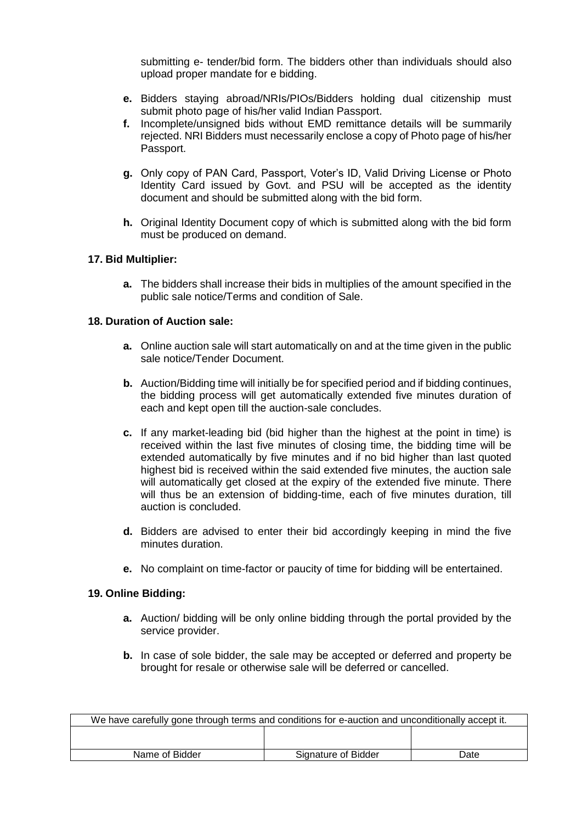submitting e- tender/bid form. The bidders other than individuals should also upload proper mandate for e bidding.

- **e.** Bidders staying abroad/NRIs/PIOs/Bidders holding dual citizenship must submit photo page of his/her valid Indian Passport.
- **f.** Incomplete/unsigned bids without EMD remittance details will be summarily rejected. NRI Bidders must necessarily enclose a copy of Photo page of his/her Passport.
- **g.** Only copy of PAN Card, Passport, Voter's ID, Valid Driving License or Photo Identity Card issued by Govt. and PSU will be accepted as the identity document and should be submitted along with the bid form.
- **h.** Original Identity Document copy of which is submitted along with the bid form must be produced on demand.

### **17. Bid Multiplier:**

**a.** The bidders shall increase their bids in multiplies of the amount specified in the public sale notice/Terms and condition of Sale.

### **18. Duration of Auction sale:**

- **a.** Online auction sale will start automatically on and at the time given in the public sale notice/Tender Document.
- **b.** Auction/Bidding time will initially be for specified period and if bidding continues, the bidding process will get automatically extended five minutes duration of each and kept open till the auction-sale concludes.
- **c.** If any market-leading bid (bid higher than the highest at the point in time) is received within the last five minutes of closing time, the bidding time will be extended automatically by five minutes and if no bid higher than last quoted highest bid is received within the said extended five minutes, the auction sale will automatically get closed at the expiry of the extended five minute. There will thus be an extension of bidding-time, each of five minutes duration, till auction is concluded.
- **d.** Bidders are advised to enter their bid accordingly keeping in mind the five minutes duration.
- **e.** No complaint on time-factor or paucity of time for bidding will be entertained.

### **19. Online Bidding:**

- **a.** Auction/ bidding will be only online bidding through the portal provided by the service provider.
- **b.** In case of sole bidder, the sale may be accepted or deferred and property be brought for resale or otherwise sale will be deferred or cancelled.

| We have carefully gone through terms and conditions for e-auction and unconditionally accept it. |                     |      |  |
|--------------------------------------------------------------------------------------------------|---------------------|------|--|
|                                                                                                  |                     |      |  |
|                                                                                                  |                     |      |  |
| Name of Bidder                                                                                   | Signature of Bidder | Date |  |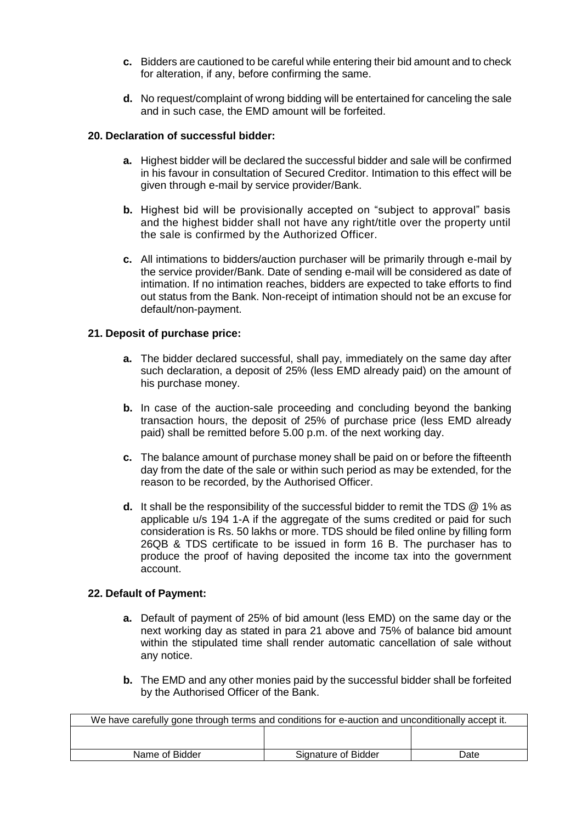- **c.** Bidders are cautioned to be careful while entering their bid amount and to check for alteration, if any, before confirming the same.
- **d.** No request/complaint of wrong bidding will be entertained for canceling the sale and in such case, the EMD amount will be forfeited.

# **20. Declaration of successful bidder:**

- **a.** Highest bidder will be declared the successful bidder and sale will be confirmed in his favour in consultation of Secured Creditor. Intimation to this effect will be given through e-mail by service provider/Bank.
- **b.** Highest bid will be provisionally accepted on "subject to approval" basis and the highest bidder shall not have any right/title over the property until the sale is confirmed by the Authorized Officer.
- **c.** All intimations to bidders/auction purchaser will be primarily through e-mail by the service provider/Bank. Date of sending e-mail will be considered as date of intimation. If no intimation reaches, bidders are expected to take efforts to find out status from the Bank. Non-receipt of intimation should not be an excuse for default/non-payment.

# **21. Deposit of purchase price:**

- **a.** The bidder declared successful, shall pay, immediately on the same day after such declaration, a deposit of 25% (less EMD already paid) on the amount of his purchase money.
- **b.** In case of the auction-sale proceeding and concluding beyond the banking transaction hours, the deposit of 25% of purchase price (less EMD already paid) shall be remitted before 5.00 p.m. of the next working day.
- **c.** The balance amount of purchase money shall be paid on or before the fifteenth day from the date of the sale or within such period as may be extended, for the reason to be recorded, by the Authorised Officer.
- **d.** It shall be the responsibility of the successful bidder to remit the TDS @ 1% as applicable u/s 194 1-A if the aggregate of the sums credited or paid for such consideration is Rs. 50 lakhs or more. TDS should be filed online by filling form 26QB & TDS certificate to be issued in form 16 B. The purchaser has to produce the proof of having deposited the income tax into the government account.

# **22. Default of Payment:**

- **a.** Default of payment of 25% of bid amount (less EMD) on the same day or the next working day as stated in para 21 above and 75% of balance bid amount within the stipulated time shall render automatic cancellation of sale without any notice.
- **b.** The EMD and any other monies paid by the successful bidder shall be forfeited by the Authorised Officer of the Bank.

| We have carefully gone through terms and conditions for e-auction and unconditionally accept it. |                     |      |  |
|--------------------------------------------------------------------------------------------------|---------------------|------|--|
|                                                                                                  |                     |      |  |
|                                                                                                  |                     |      |  |
| Name of Bidder                                                                                   | Signature of Bidder | Date |  |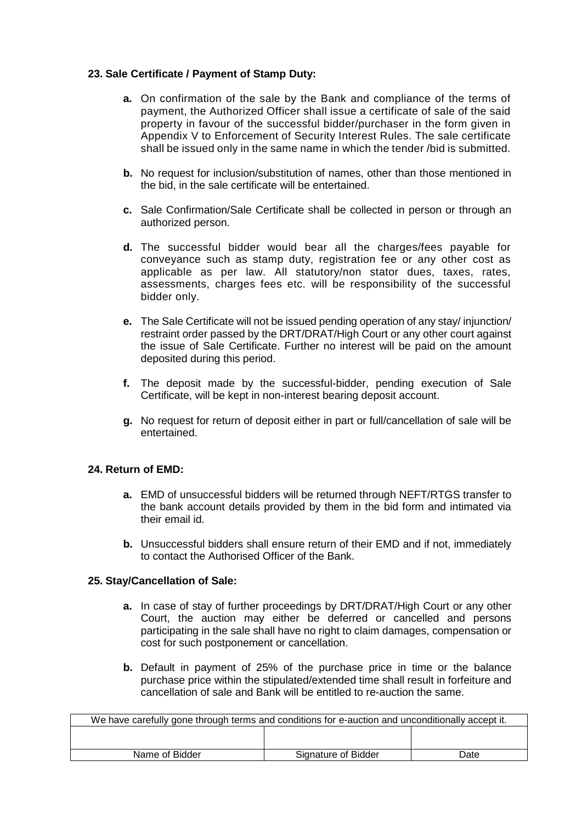# **23. Sale Certificate / Payment of Stamp Duty:**

- **a.** On confirmation of the sale by the Bank and compliance of the terms of payment, the Authorized Officer shall issue a certificate of sale of the said property in favour of the successful bidder/purchaser in the form given in Appendix V to Enforcement of Security Interest Rules. The sale certificate shall be issued only in the same name in which the tender /bid is submitted.
- **b.** No request for inclusion/substitution of names, other than those mentioned in the bid, in the sale certificate will be entertained.
- **c.** Sale Confirmation/Sale Certificate shall be collected in person or through an authorized person.
- **d.** The successful bidder would bear all the charges/fees payable for conveyance such as stamp duty, registration fee or any other cost as applicable as per law. All statutory/non stator dues, taxes, rates, assessments, charges fees etc. will be responsibility of the successful bidder only.
- **e.** The Sale Certificate will not be issued pending operation of any stay/ injunction/ restraint order passed by the DRT/DRAT/High Court or any other court against the issue of Sale Certificate. Further no interest will be paid on the amount deposited during this period.
- **f.** The deposit made by the successful-bidder, pending execution of Sale Certificate, will be kept in non-interest bearing deposit account.
- **g.** No request for return of deposit either in part or full/cancellation of sale will be entertained.

# **24. Return of EMD:**

- **a.** EMD of unsuccessful bidders will be returned through NEFT/RTGS transfer to the bank account details provided by them in the bid form and intimated via their email id.
- **b.** Unsuccessful bidders shall ensure return of their EMD and if not, immediately to contact the Authorised Officer of the Bank.

# **25. Stay/Cancellation of Sale:**

- **a.** In case of stay of further proceedings by DRT/DRAT/High Court or any other Court, the auction may either be deferred or cancelled and persons participating in the sale shall have no right to claim damages, compensation or cost for such postponement or cancellation.
- **b.** Default in payment of 25% of the purchase price in time or the balance purchase price within the stipulated/extended time shall result in forfeiture and cancellation of sale and Bank will be entitled to re-auction the same.

| We have carefully gone through terms and conditions for e-auction and unconditionally accept it. |                     |      |  |
|--------------------------------------------------------------------------------------------------|---------------------|------|--|
|                                                                                                  |                     |      |  |
|                                                                                                  |                     |      |  |
| Name of Bidder                                                                                   | Signature of Bidder | Date |  |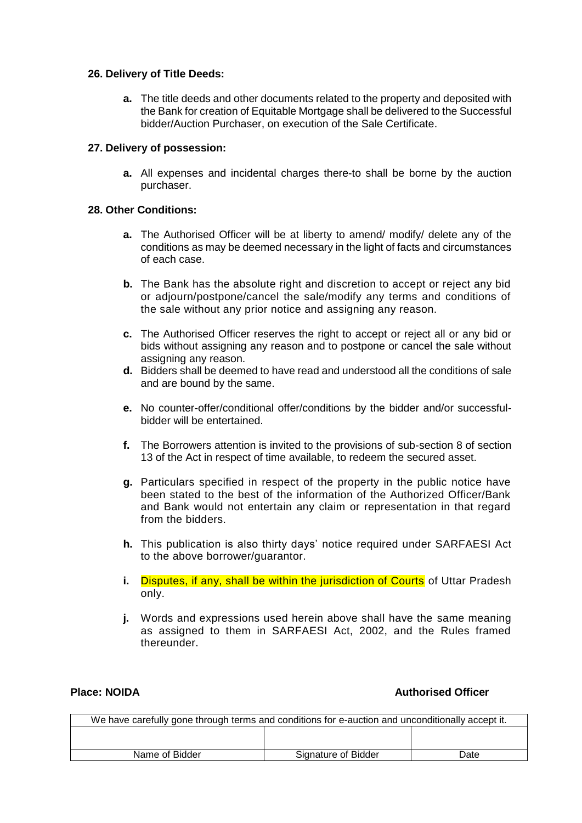### **26. Delivery of Title Deeds:**

**a.** The title deeds and other documents related to the property and deposited with the Bank for creation of Equitable Mortgage shall be delivered to the Successful bidder/Auction Purchaser, on execution of the Sale Certificate.

### **27. Delivery of possession:**

**a.** All expenses and incidental charges there-to shall be borne by the auction purchaser.

### **28. Other Conditions:**

- **a.** The Authorised Officer will be at liberty to amend/ modify/ delete any of the conditions as may be deemed necessary in the light of facts and circumstances of each case.
- **b.** The Bank has the absolute right and discretion to accept or reject any bid or adjourn/postpone/cancel the sale/modify any terms and conditions of the sale without any prior notice and assigning any reason.
- **c.** The Authorised Officer reserves the right to accept or reject all or any bid or bids without assigning any reason and to postpone or cancel the sale without assigning any reason.
- **d.** Bidders shall be deemed to have read and understood all the conditions of sale and are bound by the same.
- **e.** No counter-offer/conditional offer/conditions by the bidder and/or successfulbidder will be entertained.
- **f.** The Borrowers attention is invited to the provisions of sub-section 8 of section 13 of the Act in respect of time available, to redeem the secured asset.
- **g.** Particulars specified in respect of the property in the public notice have been stated to the best of the information of the Authorized Officer/Bank and Bank would not entertain any claim or representation in that regard from the bidders.
- **h.** This publication is also thirty days' notice required under SARFAESI Act to the above borrower/guarantor.
- **i.** Disputes, if any, shall be within the jurisdiction of Courts of Uttar Pradesh only.
- **j.** Words and expressions used herein above shall have the same meaning as assigned to them in SARFAESI Act, 2002, and the Rules framed thereunder.

# **Place: NOIDA Authorised Officer**

| We have carefully gone through terms and conditions for e-auction and unconditionally accept it. |                     |      |  |
|--------------------------------------------------------------------------------------------------|---------------------|------|--|
|                                                                                                  |                     |      |  |
| Name of Bidder                                                                                   | Signature of Bidder | Date |  |